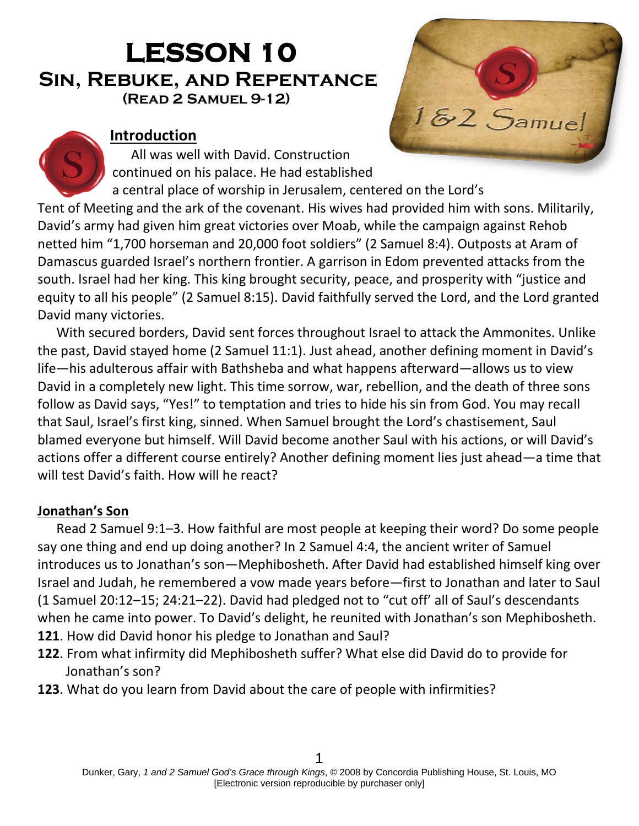# **LESSON 10 Sin, Rebuke, and Repentance(Read 2 Samuel 9-12)**

# **Introduction**

All was well with David. Construction continued on his palace. He had established



a central place of worship in Jerusalem, centered on the Lord's Tent of Meeting and the ark of the covenant. His wives had provided him with sons. Militarily, David's army had given him great victories over Moab, while the campaign against Rehob netted him "1,700 horseman and 20,000 foot soldiers" (2 Samuel 8:4). Outposts at Aram of Damascus guarded Israel's northern frontier. A garrison in Edom prevented attacks from the south. Israel had her king. This king brought security, peace, and prosperity with "justice and equity to all his people" (2 Samuel 8:15). David faithfully served the Lord, and the Lord granted David many victories.

With secured borders, David sent forces throughout Israel to attack the Ammonites. Unlike the past, David stayed home (2 Samuel 11:1). Just ahead, another defining moment in David's life—his adulterous affair with Bathsheba and what happens afterward—allows us to view David in a completely new light. This time sorrow, war, rebellion, and the death of three sons follow as David says, "Yes!" to temptation and tries to hide his sin from God. You may recall that Saul, Israel's first king, sinned. When Samuel brought the Lord's chastisement, Saul blamed everyone but himself. Will David become another Saul with his actions, or will David's actions offer a different course entirely? Another defining moment lies just ahead—a time that will test David's faith. How will he react?

# **Jonathan's Son**

Read 2 Samuel 9:1–3. How faithful are most people at keeping their word? Do some people say one thing and end up doing another? In 2 Samuel 4:4, the ancient writer of Samuel introduces us to Jonathan's son—Mephibosheth. After David had established himself king over Israel and Judah, he remembered a vow made years before—first to Jonathan and later to Saul (1 Samuel 20:12–15; 24:21–22). David had pledged not to "cut off' all of Saul's descendants when he came into power. To David's delight, he reunited with Jonathan's son Mephibosheth.

- **121**. How did David honor his pledge to Jonathan and Saul?
- **122**. From what infirmity did Mephibosheth suffer? What else did David do to provide for Jonathan's son?
- **123**. What do you learn from David about the care of people with infirmities?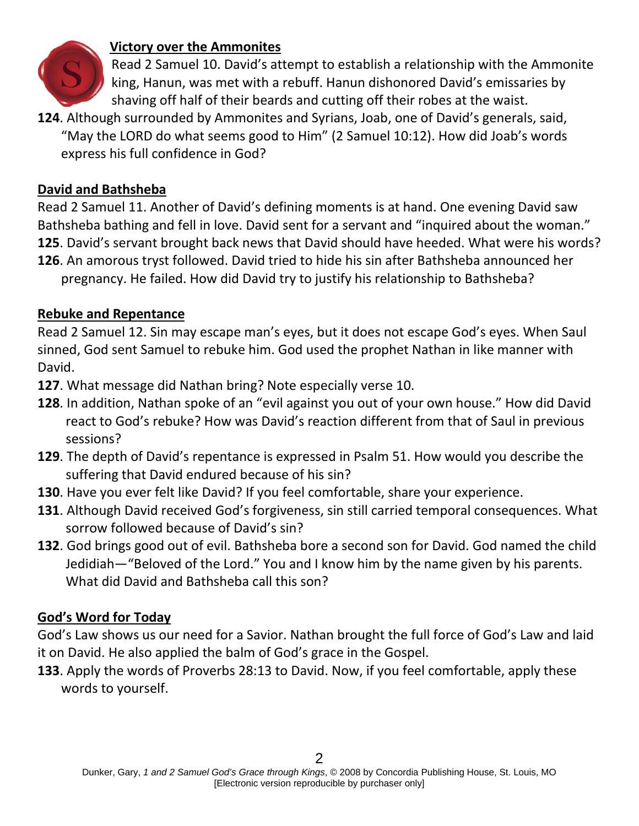

# **Victory over the Ammonites**

Read 2 Samuel 10. David's attempt to establish a relationship with the Ammonite king, Hanun, was met with a rebuff. Hanun dishonored David's emissaries by shaving off half of their beards and cutting off their robes at the waist.

**124**. Although surrounded by Ammonites and Syrians, Joab, one of David's generals, said, "May the LORD do what seems good to Him" (2 Samuel 10:12). How did Joab's words express his full confidence in God?

#### **David and Bathsheba**

Read 2 Samuel 11. Another of David's defining moments is at hand. One evening David saw Bathsheba bathing and fell in love. David sent for a servant and "inquired about the woman." **125**. David's servant brought back news that David should have heeded. What were his words?

**126**. An amorous tryst followed. David tried to hide his sin after Bathsheba announced her pregnancy. He failed. How did David try to justify his relationship to Bathsheba?

### **Rebuke and Repentance**

Read 2 Samuel 12. Sin may escape man's eyes, but it does not escape God's eyes. When Saul sinned, God sent Samuel to rebuke him. God used the prophet Nathan in like manner with David.

- **127**. What message did Nathan bring? Note especially verse 10.
- **128**. In addition, Nathan spoke of an "evil against you out of your own house." How did David react to God's rebuke? How was David's reaction different from that of Saul in previous sessions?
- **129**. The depth of David's repentance is expressed in Psalm 51. How would you describe the suffering that David endured because of his sin?
- **130**. Have you ever felt like David? If you feel comfortable, share your experience.
- **131**. Although David received God's forgiveness, sin still carried temporal consequences. What sorrow followed because of David's sin?
- **132**. God brings good out of evil. Bathsheba bore a second son for David. God named the child Jedidiah—"Beloved of the Lord." You and I know him by the name given by his parents. What did David and Bathsheba call this son?

#### **God's Word for Today**

God's Law shows us our need for a Savior. Nathan brought the full force of God's Law and laid it on David. He also applied the balm of God's grace in the Gospel.

**133**. Apply the words of Proverbs 28:13 to David. Now, if you feel comfortable, apply these words to yourself.